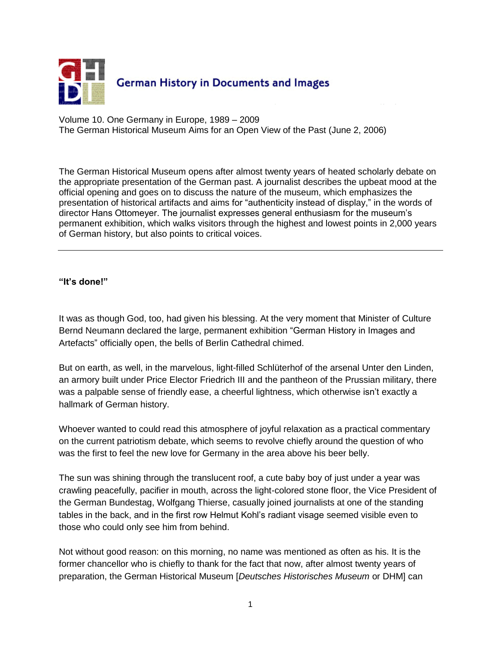

Volume 10. One Germany in Europe, 1989 – 2009 The German Historical Museum Aims for an Open View of the Past (June 2, 2006)

The German Historical Museum opens after almost twenty years of heated scholarly debate on the appropriate presentation of the German past. A journalist describes the upbeat mood at the official opening and goes on to discuss the nature of the museum, which emphasizes the presentation of historical artifacts and aims for "authenticity instead of display," in the words of director Hans Ottomeyer. The journalist expresses general enthusiasm for the museum's permanent exhibition, which walks visitors through the highest and lowest points in 2,000 years of German history, but also points to critical voices.

**"It's done!"**

It was as though God, too, had given his blessing. At the very moment that Minister of Culture Bernd Neumann declared the large, permanent exhibition "German History in Images and Artefacts" officially open, the bells of Berlin Cathedral chimed.

But on earth, as well, in the marvelous, light-filled Schlüterhof of the arsenal Unter den Linden, an armory built under Price Elector Friedrich III and the pantheon of the Prussian military, there was a palpable sense of friendly ease, a cheerful lightness, which otherwise isn't exactly a hallmark of German history.

Whoever wanted to could read this atmosphere of joyful relaxation as a practical commentary on the current patriotism debate, which seems to revolve chiefly around the question of who was the first to feel the new love for Germany in the area above his beer belly.

The sun was shining through the translucent roof, a cute baby boy of just under a year was crawling peacefully, pacifier in mouth, across the light-colored stone floor, the Vice President of the German Bundestag, Wolfgang Thierse, casually joined journalists at one of the standing tables in the back, and in the first row Helmut Kohl's radiant visage seemed visible even to those who could only see him from behind.

Not without good reason: on this morning, no name was mentioned as often as his. It is the former chancellor who is chiefly to thank for the fact that now, after almost twenty years of preparation, the German Historical Museum [*Deutsches Historisches Museum* or DHM] can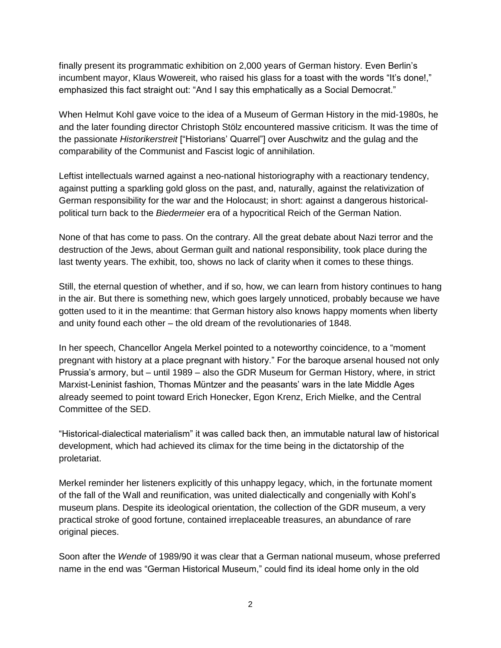finally present its programmatic exhibition on 2,000 years of German history. Even Berlin's incumbent mayor, Klaus Wowereit, who raised his glass for a toast with the words "It's done!," emphasized this fact straight out: "And I say this emphatically as a Social Democrat."

When Helmut Kohl gave voice to the idea of a Museum of German History in the mid-1980s, he and the later founding director Christoph Stölz encountered massive criticism. It was the time of the passionate *Historikerstreit* ["Historians' Quarrel"] over Auschwitz and the gulag and the comparability of the Communist and Fascist logic of annihilation.

Leftist intellectuals warned against a neo-national historiography with a reactionary tendency, against putting a sparkling gold gloss on the past, and, naturally, against the relativization of German responsibility for the war and the Holocaust; in short: against a dangerous historicalpolitical turn back to the *Biedermeier* era of a hypocritical Reich of the German Nation.

None of that has come to pass. On the contrary. All the great debate about Nazi terror and the destruction of the Jews, about German guilt and national responsibility, took place during the last twenty years. The exhibit, too, shows no lack of clarity when it comes to these things.

Still, the eternal question of whether, and if so, how, we can learn from history continues to hang in the air. But there is something new, which goes largely unnoticed, probably because we have gotten used to it in the meantime: that German history also knows happy moments when liberty and unity found each other – the old dream of the revolutionaries of 1848.

In her speech, Chancellor Angela Merkel pointed to a noteworthy coincidence, to a "moment pregnant with history at a place pregnant with history." For the baroque arsenal housed not only Prussia's armory, but – until 1989 – also the GDR Museum for German History, where, in strict Marxist-Leninist fashion, Thomas Müntzer and the peasants' wars in the late Middle Ages already seemed to point toward Erich Honecker, Egon Krenz, Erich Mielke, and the Central Committee of the SED.

"Historical-dialectical materialism" it was called back then, an immutable natural law of historical development, which had achieved its climax for the time being in the dictatorship of the proletariat.

Merkel reminder her listeners explicitly of this unhappy legacy, which, in the fortunate moment of the fall of the Wall and reunification, was united dialectically and congenially with Kohl's museum plans. Despite its ideological orientation, the collection of the GDR museum, a very practical stroke of good fortune, contained irreplaceable treasures, an abundance of rare original pieces.

Soon after the *Wende* of 1989/90 it was clear that a German national museum, whose preferred name in the end was "German Historical Museum," could find its ideal home only in the old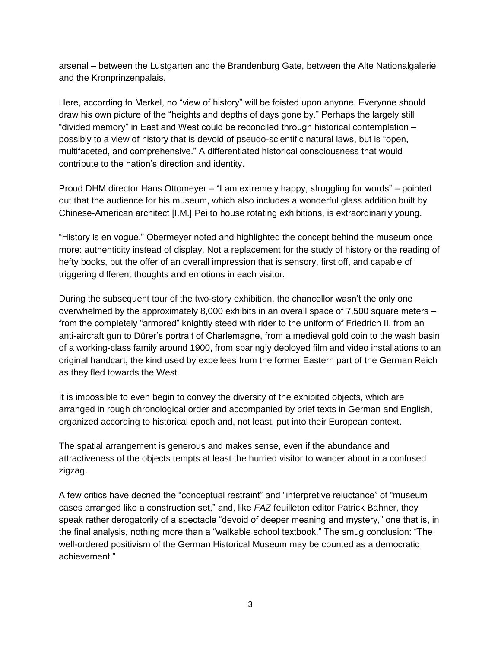arsenal – between the Lustgarten and the Brandenburg Gate, between the Alte Nationalgalerie and the Kronprinzenpalais.

Here, according to Merkel, no "view of history" will be foisted upon anyone. Everyone should draw his own picture of the "heights and depths of days gone by." Perhaps the largely still "divided memory" in East and West could be reconciled through historical contemplation – possibly to a view of history that is devoid of pseudo-scientific natural laws, but is "open, multifaceted, and comprehensive." A differentiated historical consciousness that would contribute to the nation's direction and identity.

Proud DHM director Hans Ottomeyer – "I am extremely happy, struggling for words" – pointed out that the audience for his museum, which also includes a wonderful glass addition built by Chinese-American architect [I.M.] Pei to house rotating exhibitions, is extraordinarily young.

"History is en vogue," Obermeyer noted and highlighted the concept behind the museum once more: authenticity instead of display. Not a replacement for the study of history or the reading of hefty books, but the offer of an overall impression that is sensory, first off, and capable of triggering different thoughts and emotions in each visitor.

During the subsequent tour of the two-story exhibition, the chancellor wasn't the only one overwhelmed by the approximately 8,000 exhibits in an overall space of 7,500 square meters – from the completely "armored" knightly steed with rider to the uniform of Friedrich II, from an anti-aircraft gun to Dürer's portrait of Charlemagne, from a medieval gold coin to the wash basin of a working-class family around 1900, from sparingly deployed film and video installations to an original handcart, the kind used by expellees from the former Eastern part of the German Reich as they fled towards the West.

It is impossible to even begin to convey the diversity of the exhibited objects, which are arranged in rough chronological order and accompanied by brief texts in German and English, organized according to historical epoch and, not least, put into their European context.

The spatial arrangement is generous and makes sense, even if the abundance and attractiveness of the objects tempts at least the hurried visitor to wander about in a confused zigzag.

A few critics have decried the "conceptual restraint" and "interpretive reluctance" of "museum cases arranged like a construction set," and, like *FAZ* feuilleton editor Patrick Bahner, they speak rather derogatorily of a spectacle "devoid of deeper meaning and mystery," one that is, in the final analysis, nothing more than a "walkable school textbook." The smug conclusion: "The well-ordered positivism of the German Historical Museum may be counted as a democratic achievement."